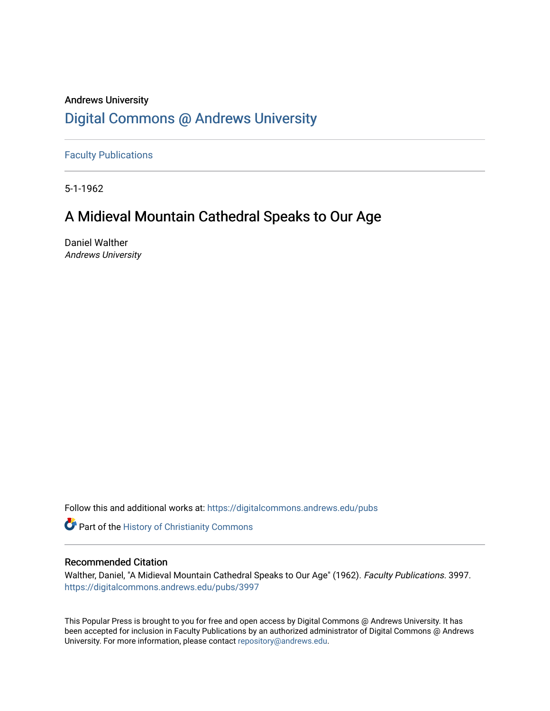### Andrews University [Digital Commons @ Andrews University](https://digitalcommons.andrews.edu/)

[Faculty Publications](https://digitalcommons.andrews.edu/pubs)

5-1-1962

## A Midieval Mountain Cathedral Speaks to Our Age

Daniel Walther Andrews University

Follow this and additional works at: [https://digitalcommons.andrews.edu/pubs](https://digitalcommons.andrews.edu/pubs?utm_source=digitalcommons.andrews.edu%2Fpubs%2F3997&utm_medium=PDF&utm_campaign=PDFCoverPages) 

Part of the [History of Christianity Commons](http://network.bepress.com/hgg/discipline/1182?utm_source=digitalcommons.andrews.edu%2Fpubs%2F3997&utm_medium=PDF&utm_campaign=PDFCoverPages) 

#### Recommended Citation

Walther, Daniel, "A Midieval Mountain Cathedral Speaks to Our Age" (1962). Faculty Publications. 3997. [https://digitalcommons.andrews.edu/pubs/3997](https://digitalcommons.andrews.edu/pubs/3997?utm_source=digitalcommons.andrews.edu%2Fpubs%2F3997&utm_medium=PDF&utm_campaign=PDFCoverPages) 

This Popular Press is brought to you for free and open access by Digital Commons @ Andrews University. It has been accepted for inclusion in Faculty Publications by an authorized administrator of Digital Commons @ Andrews University. For more information, please contact [repository@andrews.edu](mailto:repository@andrews.edu).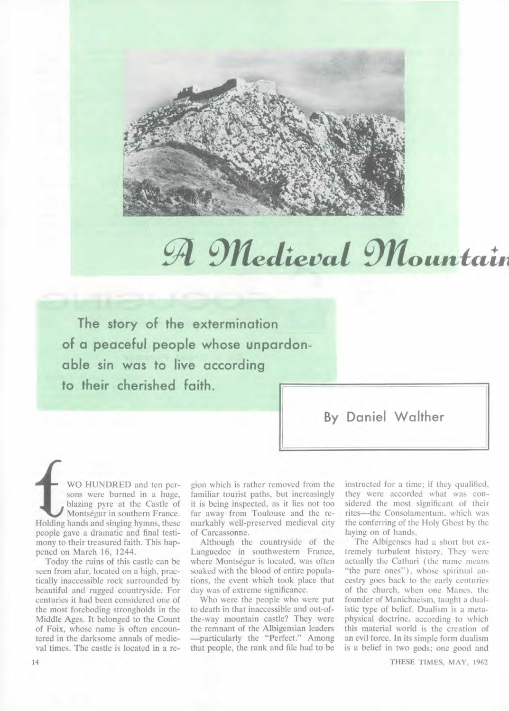

## $M$  *Medieval Mountain*

**The story of the extermination of a peaceful people whose unpardonable sin was to live according to their cherished faith.** 

**By Daniel Walther** 

WO HUNDRED and ten per-<br>sons were burned in a huge,<br>blazing pyre at the Castle of<br>Montségur in southern France.<br>Holding hands and singing hymns, these sons were burned in a huge, blazing pyre at the Castle of Montségur in southern France. Holding hands and singing hymns, these people gave a dramatic and final testimony to their treasured faith. This happened on March 16, 1244.

Today the ruins of this castle can be seen from afar, located on a high, practically inaccessible rock surrounded by beautiful and rugged countryside. For centuries it had been considered one of the most foreboding strongholds in the Middle Ages. It belonged to the Count of Foix, whose name is often encountered in the darksome annals of medieval times. The castle is located in a region which is rather removed from the familiar tourist paths, but increasingly it is being inspected, as it lies not too far away from Toulouse and the remarkably well-preserved medieval city of Carcassonne.

Although the countryside of the Languedoc in southwestern France, where Montségur is located, was often soaked with the blood of entire populations, the event which took place that day was of extreme significance.

Who were the people who were put to death in that inaccessible and out-ofthe-way mountain castle? They were the remnant of the Albigensian leaders —particularly the "Perfect." Among that people, the rank and file had to be instructed for a time; if they qualified, they were accorded what was considered the most significant of their rites—the Consolamentum, which was the conferring of the Holy Ghost by the laying on of hands.

The Albigenses had a short but extremely turbulent history. They were actually the Cathari (the name means "the pure ones"), whose spiritual ancestry goes back to the early centuries of the church, when one Manes, the founder of Manichaeism, taught a dualistic type of belief. Dualism is a metaphysical doctrine, according to which this material world is the creation of an evil force. In its simple form dualism is a belief in two gods; one good and

THESE TIMES, MAY, 1962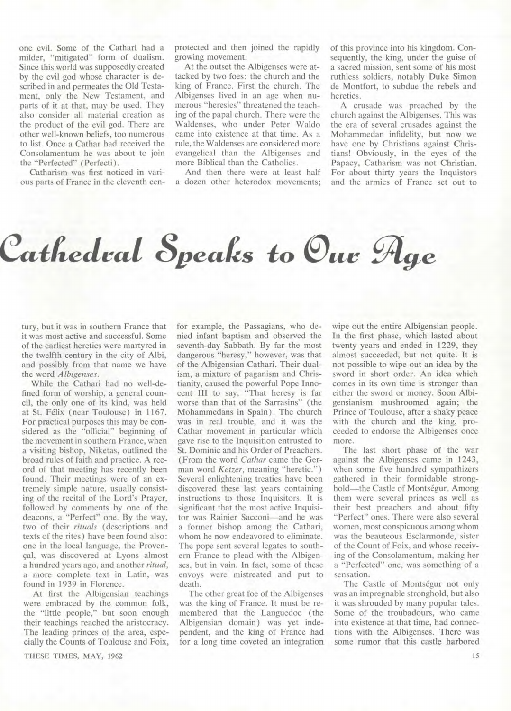one evil. Some of the Cathari had a milder, "mitigated" form of dualism. Since this world was supposedly created by the evil god whose character is described in and permeates the Old Testament, only the New Testament, and parts of it at that, may be used. They also consider all material creation as the product of the evil god. There are other well-known beliefs, too numerous to list. Once a Cathar had received the Consolamentum he was about to join the "Perfected" (Perfecti).

Catharism was first noticed in various parts of France in the eleventh cenprotected and then joined the rapidly growing movement.

At the outset the Albigenses were attacked by two foes: the church and the king of France. First the church. The Albigenses lived in an age when numerous "heresies" threatened the teaching of the papal church. There were the Waldenses, who under Peter Waldo came into existence at that time. As a rule, the Waldenses are considered more evangelical than the Albigenses and more Biblical than the Catholics.

And then there were at least half a dozen other heterodox movements; of this province into his kingdom. Consequently, the king, under the guise of a sacred mission, sent some of his most ruthless soldiers, notably Duke Simon de Montfort, to subdue the rebels and heretics.

A crusade was preached by the church against the Albigenses. This was the era of several crusades against the Mohammedan infidelity, but now we have one by Christians against Christians! Obviously, in the eyes of the Papacy, Catharism was not Christian. For about thirty years the Inquistors and the armies of France set out to

# $\cal{C}$ athedral Speaks to  $\cal{O}_{uv}$   $\cal{A}_{ge}$

tury, but it was in southern France that it was most active and successful. Some of the earliest heretics were martyred in the twelfth century in the city of Albi, and possibly from that name we have the word *Albigenses.* 

While the Cathari had no well-defined form of worship, a general council, the only one of its kind, was held at St. Felix (near Toulouse) in 1167. For practical purposes this may be considered as the "official" beginning of the movement in southern France, when a visiting bishop, Niketas, outlined the broad rules of faith and practice. A record of that meeting has recently been found. Their meetings were of an extremely simple nature, usually consisting of the recital of the Lord's Prayer, followed by comments by one of the deacons, a "Perfect" one. By the way, two of their *rituals* (descriptions and texts of the rites) have been found also: one in the local language, the Provençal, was discovered at Lyons almost a hundred years ago, and another *ritual,*  a more complete text in Latin, was found in 1939 in Florence.

At first the Albigensian teachings were embraced by the common folk, the "little people," but soon enough their teachings reached the aristocracy. The leading princes of the area, especially the Counts of Toulouse and Foix,

**THESE TIMES, MAY, 1962** 

for example, the Passagians, who denied infant baptism and observed the seventh-day Sabbath. By far the most dangerous "heresy," however, was that of the Albigensian Cathari. Their dualism, a mixture of paganism and Christianity, caused the powerful Pope Innocent III to say, "That heresy is far worse than that of the Sarrasins" (the Mohammedans in Spain). The church was in real trouble, and it was the Cathar movement in particular which gave rise to the Inquisition entrusted to St. Dominic and his Order of Preachers. (From the word *Cathar* came the German word *Ketzer,* meaning "heretic.") Several enlightening treaties have been discovered these last years containing instructions to those Inquisitors. It is significant that the most active Inquisitor was Rainier Sacconi—and he was a former bishop among the Cathari, whom he now endeavored to eliminate. The pope sent several legates to southern France to plead with the Albigenses, but in vain. In fact, some of these envoys were mistreated and put to death.

The other great foe of the Albigenses was the king of France. It must be remembered that the Languedoc (the Albigensian domain) was yet independent, and the king of France had for a long time coveted an integration wipe out the entire Albigensian people. In the first phase, which lasted about twenty years and ended in 1229, they almost succeeded, but not quite. It is not possible to wipe out an idea by the sword in short order. An idea which comes in its own time is stronger than either the sword or money. Soon Albigensianism mushroomed again; the Prince of Toulouse, after a shaky peace with the church and the king, proceeded to endorse the Albigenses once more.

The last short phase of the war against the Albigenses came in 1243, when some five hundred sympathizers gathered in their formidable stronghold—the Castle of Montségur. Among them were several princes as well as their best preachers and about fifty "Perfect" ones. There were also several women, most conspicuous among whom was the beauteous Esclarmonde, sister of the Count of Foix, and whose receiving of the Consolamentum, making her a "Perfected" one, was something of a sensation.

The Castle of Montségur not only was an impregnable stronghold, but also it was shrouded by many popular tales. Some of the troubadours, who came into existence at that time, had connections with the Albigenses. There was some rumor that this castle harbored